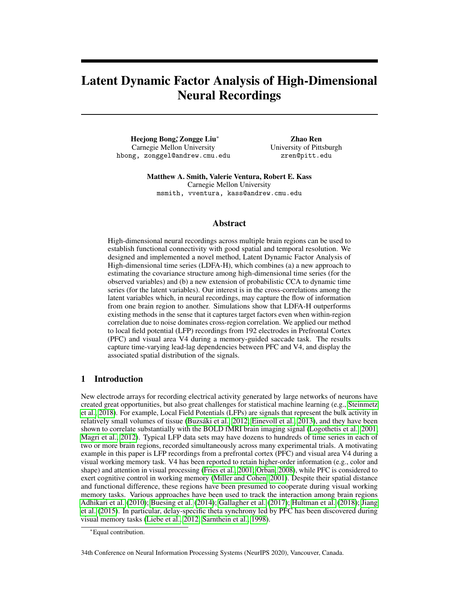# Latent Dynamic Factor Analysis of High-Dimensional Neural Recordings

Heejong Bong<sup>\*</sup>, Zongge Liu<sup>∗</sup> Carnegie Mellon University hbong, zonggel@andrew.cmu.edu

Zhao Ren University of Pittsburgh zren@pitt.edu

Matthew A. Smith, Valerie Ventura, Robert E. Kass Carnegie Mellon University msmith, vventura, kass@andrew.cmu.edu

# Abstract

High-dimensional neural recordings across multiple brain regions can be used to establish functional connectivity with good spatial and temporal resolution. We designed and implemented a novel method, Latent Dynamic Factor Analysis of High-dimensional time series (LDFA-H), which combines (a) a new approach to estimating the covariance structure among high-dimensional time series (for the observed variables) and (b) a new extension of probabilistic CCA to dynamic time series (for the latent variables). Our interest is in the cross-correlations among the latent variables which, in neural recordings, may capture the flow of information from one brain region to another. Simulations show that LDFA-H outperforms existing methods in the sense that it captures target factors even when within-region correlation due to noise dominates cross-region correlation. We applied our method to local field potential (LFP) recordings from 192 electrodes in Prefrontal Cortex (PFC) and visual area V4 during a memory-guided saccade task. The results capture time-varying lead-lag dependencies between PFC and V4, and display the associated spatial distribution of the signals.

# 1 Introduction

New electrode arrays for recording electrical activity generated by large networks of neurons have created great opportunities, but also great challenges for statistical machine learning (e.g., [Steinmetz](#page-10-0) [et al., 2018\)](#page-10-0). For example, Local Field Potentials (LFPs) are signals that represent the bulk activity in relatively small volumes of tissue [\(Buzsáki et al., 2012;](#page-9-0) [Einevoll et al., 2013\)](#page-9-1), and they have been shown to correlate substantially with the BOLD fMRI brain imaging signal [\(Logothetis et al., 2001;](#page-9-2) [Magri et al., 2012\)](#page-9-3). Typical LFP data sets may have dozens to hundreds of time series in each of two or more brain regions, recorded simultaneously across many experimental trials. A motivating example in this paper is LFP recordings from a prefrontal cortex (PFC) and visual area V4 during a visual working memory task. V4 has been reported to retain higher-order information (e.g., color and shape) and attention in visual processing [\(Fries et al., 2001;](#page-9-4) [Orban, 2008\)](#page-10-1), while PFC is considered to exert cognitive control in working memory [\(Miller and Cohen, 2001\)](#page-10-2). Despite their spatial distance and functional difference, these regions have been presumed to cooperate during visual working memory tasks. Various approaches have been used to track the interaction among brain regions [Adhikari et al.](#page-9-5) [\(2010\)](#page-9-5); [Buesing et al.](#page-9-6) [\(2014\)](#page-9-6); [Gallagher et al.](#page-9-7) [\(2017\)](#page-9-7); [Hultman et al.](#page-9-8) [\(2018\)](#page-9-8); [Jiang](#page-9-9) [et al.](#page-9-9) [\(2015\)](#page-9-9). In particular, delay-specific theta synchrony led by PFC has been discovered during visual memory tasks [\(Liebe et al., 2012;](#page-9-10) [Sarnthein et al., 1998\)](#page-10-3).

34th Conference on Neural Information Processing Systems (NeurIPS 2020), Vancouver, Canada.

<sup>∗</sup>Equal contribution.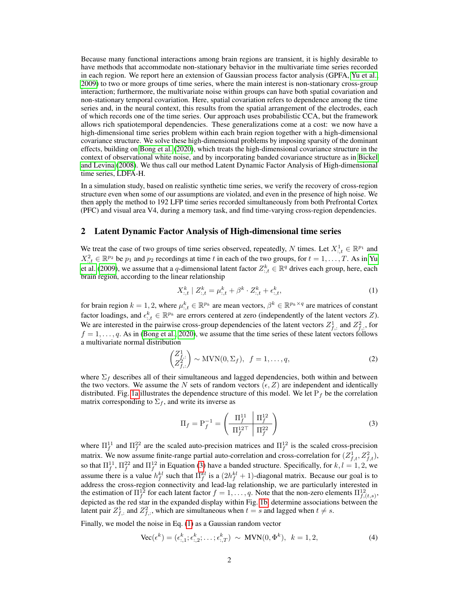Because many functional interactions among brain regions are transient, it is highly desirable to have methods that accommodate non-stationary behavior in the multivariate time series recorded in each region. We report here an extension of Gaussian process factor analysis (GPFA, [Yu et al.,](#page-10-4) [2009\)](#page-10-4) to two or more groups of time series, where the main interest is non-stationary cross-group interaction; furthermore, the multivariate noise within groups can have both spatial covariation and non-stationary temporal covariation. Here, spatial covariation refers to dependence among the time series and, in the neural context, this results from the spatial arrangement of the electrodes, each of which records one of the time series. Our approach uses probabilistic CCA, but the framework allows rich spatiotemporal dependencies. These generalizations come at a cost: we now have a high-dimensional time series problem within each brain region together with a high-dimensional covariance structure. We solve these high-dimensional problems by imposing sparsity of the dominant effects, building on [Bong et al.](#page-9-11) [\(2020\)](#page-9-11), which treats the high-dimensional covariance structure in the context of observational white noise, and by incorporating banded covariance structure as in [Bickel](#page-9-12) [and Levina](#page-9-12) [\(2008\)](#page-9-12). We thus call our method Latent Dynamic Factor Analysis of High-dimensional time series, LDFA-H.

In a simulation study, based on realistic synthetic time series, we verify the recovery of cross-region structure even when some of our assumptions are violated, and even in the presence of high noise. We then apply the method to 192 LFP time series recorded simultaneously from both Prefrontal Cortex (PFC) and visual area V4, during a memory task, and find time-varying cross-region dependencies.

# <span id="page-1-4"></span>2 Latent Dynamic Factor Analysis of High-dimensional time series

We treat the case of two groups of time series observed, repeatedly, N times. Let  $X^1_{:,t} \in \mathbb{R}^{p_1}$  and  $X_{:,t}^2 \in \mathbb{R}^{p_2}$  be  $p_1$  and  $p_2$  recordings at time t in each of the two groups, for  $t = 1, ..., T$ . As in [Yu](#page-10-4) [et al.](#page-10-4) [\(2009\)](#page-10-4), we assume that a q-dimensional latent factor  $Z_{:,t}^k \in \mathbb{R}^q$  drives each group, here, each brain region, according to the linear relationship

<span id="page-1-1"></span>
$$
X_{:,t}^k \mid Z_{:,t}^k = \mu_{:,t}^k + \beta^k \cdot Z_{:,t}^k + \epsilon_{:,t}^k,\tag{1}
$$

for brain region  $k = 1, 2$ , where  $\mu_{:,t}^k \in \mathbb{R}^{p_k}$  are mean vectors,  $\beta^k \in \mathbb{R}^{p_k \times q}$  are matrices of constant factor loadings, and  $\epsilon_{i,t}^k \in \mathbb{R}^{p_k}$  are errors centered at zero (independently of the latent vectors Z). We are interested in the pairwise cross-group dependencies of the latent vectors  $Z_{f,:}^1$  and  $Z_{f,:}^2$ , for  $f = 1, \ldots, q$ . As in [\(Bong et al., 2020\)](#page-9-11), we assume that the time series of these latent vectors follows a multivariate normal distribution

$$
\begin{pmatrix} Z_{f,:}^1 \\ Z_{f,:}^2 \end{pmatrix} \sim \text{MVN}(0, \Sigma_f), \ f = 1, \dots, q,
$$
 (2)

where  $\Sigma_f$  describes all of their simultaneous and lagged dependencies, both within and between the two vectors. We assume the N sets of random vectors  $(\epsilon, Z)$  are independent and identically distributed. Fig. [1a](#page-2-0) illustrates the dependence structure of this model. We let  $P_f$  be the correlation matrix corresponding to  $\Sigma_f$ , and write its inverse as

<span id="page-1-2"></span><span id="page-1-0"></span>
$$
\Pi_f = P_f^{-1} = \left(\begin{array}{c|c} \Pi_f^{11} & \Pi_f^{12} \\ \hline \Pi_f^{12\top} & \Pi_f^{22} \end{array}\right) \tag{3}
$$

where  $\Pi_f^{11}$  and  $\Pi_f^{22}$  are the scaled auto-precision matrices and  $\Pi_f^{12}$  is the scaled cross-precision matrix. We now assume finite-range partial auto-correlation and cross-correlation for  $(Z_{f,t}^1, Z_{f,t}^2)$ , so that  $\Pi_f^{11}$ ,  $\Pi_f^{22}$  and  $\Pi_f^{12}$  in Equation [\(3\)](#page-1-0) have a banded structure. Specifically, for  $k, l = 1, 2$ , we assume there is a value  $h_f^{kl}$  such that  $\Pi_f^{kl}$  is a  $(2h_f^{kl} + 1)$ -diagonal matrix. Because our goal is to address the cross-region connectivity and lead-lag relationship, we are particularly interested in the estimation of  $\Pi_f^{12}$  for each latent factor  $f = 1, \ldots, q$ . Note that the non-zero elements  $\Pi_{f,(t,s)}^{12}$ , depicted as the red star in the expanded display within Fig. [1b,](#page-2-1) determine associations between the latent pair  $Z_{f,:}^1$  and  $Z_{f,:}^2$ , which are simultaneous when  $t = s$  and lagged when  $t \neq s$ .

Finally, we model the noise in Eq. [\(1\)](#page-1-1) as a Gaussian random vector

<span id="page-1-3"></span>
$$
\text{Vec}(\epsilon^k) = (\epsilon^k_{:,1}; \epsilon^k_{:,2}; \dots; \epsilon^k_{:,T}) \sim \text{MVN}(0, \Phi^k), \ \ k = 1, 2,
$$
 (4)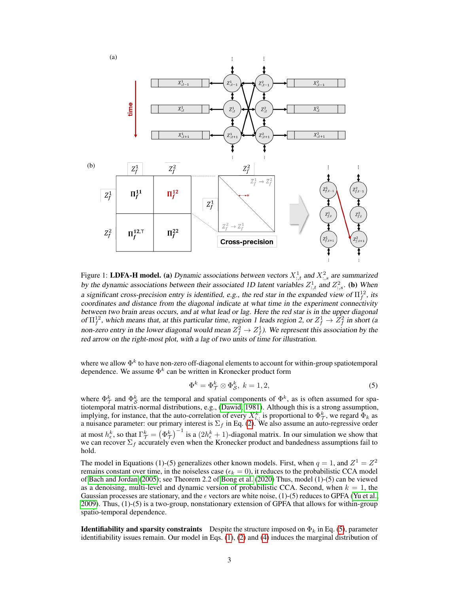<span id="page-2-0"></span>

<span id="page-2-1"></span>Figure 1: LDFA-H model. (a) Dynamic associations between vectors  $X^1_{:,t}$  and  $X^2_{:,s}$  are summarized by the dynamic associations between their associated 1D latent variables  $Z_{:,t}^1$  and  $Z_{:,s}^2$ . (b) When a significant cross-precision entry is identified, e.g., the red star in the expanded view of  $\Pi_f^{12}$ , its coordinates and distance from the diagonal indicate at what time in the experiment connectivity between two brain areas occurs, and at what lead or lag. Here the red star is in the upper diagonal of  $\Pi_f^{12}$ , which means that, at this particular time, region 1 leads region 2, or  $Z_f^1 \to \overline{Z}_f^2$  in short (a non-zero entry in the lower diagonal would mean  $Z_f^2 \to Z_f^1$ ). We represent this association by the red arrow on the right-most plot, with a lag of two units of time for illustration.

where we allow  $\Phi^k$  to have non-zero off-diagonal elements to account for within-group spatiotemporal dependence. We assume  $\Phi^k$  can be written in Kronecker product form

<span id="page-2-2"></span>
$$
\Phi^k = \Phi^k_{\mathcal{T}} \otimes \Phi^k_{\mathcal{S}}, \ k = 1, 2, \tag{5}
$$

where  $\Phi_{\mathcal{T}}^k$  and  $\Phi_{\mathcal{S}}^k$  are the temporal and spatial components of  $\Phi^k$ , as is often assumed for spatiotemporal matrix-normal distributions, e.g., [\(Dawid, 1981\)](#page-9-13). Although this is a strong assumption, implying, for instance, that the auto-correlation of every  $X_{i,:}^k$  is proportional to  $\Phi_{\mathcal{T}}^k$ , we regard  $\Phi_k$  as a nuisance parameter: our primary interest is  $\Sigma_f$  in Eq. [\(2\)](#page-1-2). We also assume an auto-regressive order at most  $h_{\epsilon}^{k}$ , so that  $\Gamma_{\mathcal{T}}^{k} = (\Phi_{\mathcal{T}}^{k})^{-1}$  is a  $(2h_{\epsilon}^{k} + 1)$ -diagonal matrix. In our simulation we show that we can recover  $\Sigma_f$  accurately even when the Kronecker product and bandedness assumptions fail to hold.

The model in Equations (1)-(5) generalizes other known models. First, when  $q = 1$ , and  $Z^1 = Z^2$ remains constant over time, in the noiseless case ( $\epsilon_k = 0$ ), it reduces to the probabilistic CCA model of [Bach and Jordan](#page-9-14) [\(2005\)](#page-9-14); see Theorem 2.2 of [Bong et al.](#page-9-11) [\(2020\)](#page-9-11) Thus, model (1)-(5) can be viewed as a denoising, multi-level and dynamic version of probabilistic CCA. Second, when  $k = 1$ , the Gaussian processes are stationary, and the  $\epsilon$  vectors are white noise, (1)-(5) reduces to GPFA [\(Yu et al.,](#page-10-4) [2009\)](#page-10-4). Thus, (1)-(5) is a two-group, nonstationary extension of GPFA that allows for within-group spatio-temporal dependence.

**Identifiability and sparsity constraints** Despite the structure imposed on  $\Phi_k$  in Eq. [\(5\)](#page-2-2), parameter identifiability issues remain. Our model in Eqs. [\(1\)](#page-1-1), [\(2\)](#page-1-2) and [\(4\)](#page-1-3) induces the marginal distribution of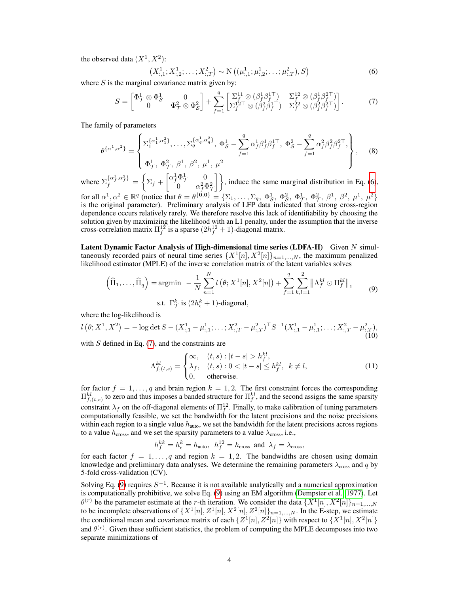the observed data  $(X^1, X^2)$ :

<span id="page-3-1"></span><span id="page-3-0"></span>
$$
(X_{:,1}^1; X_{:,2}^1; \dots; X_{:,T}^2) \sim \mathcal{N}\left((\mu_{:,1}^1; \mu_{:,2}^1; \dots; \mu_{:,T}^2), S\right)
$$
(6)

where  $S$  is the marginal covariance matrix given by:

<span id="page-3-3"></span>
$$
S = \begin{bmatrix} \Phi_{\mathcal{T}}^1 \otimes \Phi_{\mathcal{S}}^1 & 0 \\ 0 & \Phi_{\mathcal{T}}^2 \otimes \Phi_{\mathcal{S}}^2 \end{bmatrix} + \sum_{f=1}^q \begin{bmatrix} \Sigma_f^{11} \otimes (\beta_f^1 \beta_f^{1\top}) & \Sigma_f^{12} \otimes (\beta_f^1 \beta_f^{2\top}) \\ \Sigma_f^{12} \top \otimes (\beta_f^2 \beta_f^{1\top}) & \Sigma_f^{22} \otimes (\beta_f^2 \beta_f^{2\top}) \end{bmatrix} . \tag{7}
$$

The family of parameters

$$
\theta^{\{\alpha^1,\alpha^2\}} = \begin{cases} \sum_1^{\{\alpha_1^1,\alpha_1^2\}}, \dots, \sum_q^{\{\alpha_q^1,\alpha_q^2\}}, \Phi_S^1 - \sum_{f=1}^q \alpha_f^1 \beta_f^1 \beta_f^{1\top}, \ \Phi_S^2 - \sum_{f=1}^q \alpha_f^2 \beta_f^2 \beta_f^{2\top}, \\ \Phi_T^1, \ \Phi_T^2, \ \beta^1, \ \beta^2, \ \mu^1, \ \mu^2 \end{cases}, \tag{8}
$$

where  $\Sigma_f^{\{\alpha_f^1,\alpha_f^2\}} = \begin{cases} \Sigma_f + \begin{bmatrix} \alpha_f^1 \Phi_f^1 & 0 \\ 0 & \alpha_f^2 \Phi_f^2 \end{bmatrix} \end{cases}$  $\begin{bmatrix} \Phi^1_7 & 0 \\ 0 & \alpha_f^2 \Phi^2_7 \end{bmatrix}$ , induce the same marginal distribution in Eq. [\(6\)](#page-3-0), for all  $\alpha^1, \alpha^2 \in \mathbb{R}^q$  (notice that  $\theta = \theta^{\{0,0\}} = {\{\Sigma_1, \dots, \Sigma_q, \Phi^1_{\mathcal{S}}, \Phi^2_{\mathcal{S}}, \Phi^1_{\mathcal{T}}, \Phi^2_{\mathcal{T}}, \beta^1, \beta^2, \mu^1, \mu^2\}}$ 

is the original parameter). Preliminary analysis of LFP data indicated that strong cross-region dependence occurs relatively rarely. We therefore resolve this lack of identifiability by choosing the solution given by maximizing the likelihood with an L1 penalty, under the assumption that the inverse cross-correlation matrix  $\Pi_f^{12}$  is a sparse  $(2h_f^{12} + 1)$ -diagonal matrix.

Latent Dynamic Factor Analysis of High-dimensional time series (LDFA-H) Given  $N$  simultaneously recorded pairs of neural time series  $\{X^1[n], X^2[n]\}_{n=1,\dots,N}$ , the maximum penalized likelihood estimator (MPLE) of the inverse correlation matrix of the latent variables solves

$$
\left(\widehat{\Pi}_1, \ldots, \widehat{\Pi}_q\right) = \operatorname{argmin}_{N} - \frac{1}{N} \sum_{n=1}^{N} l\left(\theta; X^1[n], X^2[n]\right) + \sum_{f=1}^{q} \sum_{k,l=1}^{2} \left\| \Lambda_f^{kl} \odot \Pi_f^{kl} \right\|_1 \tag{9}
$$

<span id="page-3-2"></span>s.t. 
$$
\Gamma_{\mathcal{T}}^k
$$
 is  $(2h_{\epsilon}^k + 1)$ -diagonal,

where the log-likelihood is

$$
l\left(\theta;X^{1},X^{2}\right)=-\log\det S-(X^{1}_{:,1}-\mu^{1}_{:,1};\ldots;X^{2}_{:,T}-\mu^{2}_{:,T})^{\top}S^{-1}(X^{1}_{:,1}-\mu^{1}_{:,1};\ldots;X^{2}_{:,T}-\mu^{2}_{:,T}),
$$
\n(10)

with  $S$  defined in Eq. [\(7\)](#page-3-1), and the constraints are

$$
\Lambda_{f,(t,s)}^{kl} = \begin{cases}\n\infty, & (t,s) : |t-s| > h_f^{kl}, \\
\lambda_f, & (t,s) : 0 < |t-s| \le h_f^{kl}, \ k \ne l, \\
0, & \text{otherwise}.\n\end{cases}\n\tag{11}
$$

for factor  $f = 1, \ldots, q$  and brain region  $k = 1, 2$ . The first constraint forces the corresponding  $\Pi_{f,(t,s)}^{kl}$  to zero and thus imposes a banded structure for  $\Pi_f^{kl}$ , and the second assigns the same sparsity constraint  $\lambda_f$  on the off-diagonal elements of  $\Pi_f^{12}$ . Finally, to make calibration of tuning parameters computationally feasible, we set the bandwidth for the latent precisions and the noise precisions within each region to a single value  $h_{\text{auto}}$ , we set the bandwidth for the latent precisions across regions to a value  $h_{\text{cross}}$ , and we set the sparsity parameters to a value  $\lambda_{\text{cross}}$ , i.e.,

$$
h_f^{kk} = h_{\epsilon}^k = h_{\text{auto}}, \ \ h_f^{12} = h_{\text{cross}} \ \text{and} \ \lambda_f = \lambda_{\text{cross}},
$$

for each factor  $f = 1, \ldots, q$  and region  $k = 1, 2$ . The bandwidths are chosen using domain knowledge and preliminary data analyses. We determine the remaining parameters  $\lambda_{\rm cross}$  and q by 5-fold cross-validation (CV).

Solving Eq. [\(9\)](#page-3-2) requires  $S^{-1}$ . Because it is not available analytically and a numerical approximation is computationally prohibitive, we solve Eq. [\(9\)](#page-3-2) using an EM algorithm [\(Dempster et al., 1977\)](#page-9-15). Let  $\theta^{(r)}$  be the parameter estimate at the r-th iteration. We consider the data  $\{X^1[n], X^2[n]\}_{n=1,\dots,N}$ to be incomplete observations of  $\{X^1[n], Z^1[n], X^2[n], Z^2[n]\}_{n=1,\ldots,N}$ . In the E-step, we estimate the conditional mean and covariance matrix of each  $\{Z^1[n], Z^2[n]\}$  with respect to  $\{X^1[n], X^2[n]\}$ and  $\theta^{(r)}$ . Given these sufficient statistics, the problem of computing the MPLE decomposes into two separate minimizations of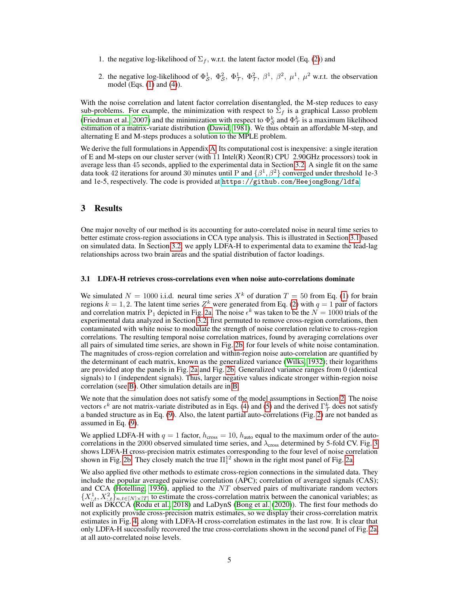- 1. the negative log-likelihood of  $\Sigma_f$ , w.r.t. the latent factor model (Eq. [\(2\)](#page-1-2)) and
- 2. the negative log-likelihood of  $\Phi_S^1$ ,  $\Phi_S^2$ ,  $\Phi_T^1$ ,  $\Phi_T^2$ ,  $\beta^1$ ,  $\beta^2$ ,  $\mu^1$ ,  $\mu^2$  w.r.t. the observation model (Eqs. [\(1\)](#page-1-1) and [\(4\)](#page-1-3)).

With the noise correlation and latent factor correlation disentangled, the M-step reduces to easy sub-problems. For example, the minimization with respect to  $\Sigma_f$  is a graphical Lasso problem [\(Friedman et al., 2007\)](#page-9-16) and the minimization with respect to  $\Phi_S^k$  and  $\Phi_{\mathcal{T}}^k$  is a maximum likelihood estimation of a matrix-variate distribution [\(Dawid, 1981\)](#page-9-13). We thus obtain an affordable M-step, and alternating E and M-steps produces a solution to the MPLE problem.

We derive the full formulations in Appendix [A.](#page-11-0) Its computational cost is inexpensive: a single iteration of E and M-steps on our cluster server (with 11 Intel(R) Xeon(R) CPU 2.90GHz processors) took in average less than 45 seconds, applied to the experimental data in Section [3.2.](#page-5-0) A single fit on the same data took 42 iterations for around 30 minutes until P and  $\{\beta^1, \beta^2\}$  converged under threshold 1e-3 and 1e-5, respectively. The code is provided at <https://github.com/HeejongBong/ldfa>.

# 3 Results

One major novelty of our method is its accounting for auto-correlated noise in neural time series to better estimate cross-region associations in CCA type analysis. This is illustrated in Section [3.1](#page-4-0) based on simulated data. In Section [3.2,](#page-5-0) we apply LDFA-H to experimental data to examine the lead-lag relationships across two brain areas and the spatial distribution of factor loadings.

#### <span id="page-4-0"></span>3.1 LDFA-H retrieves cross-correlations even when noise auto-correlations dominate

We simulated  $N = 1000$  i.i.d. neural time series  $X<sup>k</sup>$  of duration  $T = 50$  from Eq. [\(1\)](#page-1-1) for brain regions  $k = 1, 2$ . The latent time series  $Z^k$  were generated from Eq. [\(2\)](#page-1-2) with  $q = 1$  pair of factors and correlation matrix P<sub>1</sub> depicted in Fig. [2a.](#page-5-1) The noise  $\epsilon^k$  was taken to be the  $N = 1000$  trials of the experimental data analyzed in Section [3.2,](#page-5-0) first permuted to remove cross-region correlations, then contaminated with white noise to modulate the strength of noise correlation relative to cross-region correlations. The resulting temporal noise correlation matrices, found by averaging correlations over all pairs of simulated time series, are shown in Fig. [2b,](#page-5-2) for four levels of white noise contamination. The magnitudes of cross-region correlation and within-region noise auto-correlation are quantified by the determinant of each matrix, known as the generalized variance [\(Wilks, 1932\)](#page-10-5); their logarithms are provided atop the panels in Fig. [2a](#page-5-1) and Fig. [2b.](#page-5-2) Generalized variance ranges from 0 (identical signals) to 1 (independent signals). Thus, larger negative values indicate stronger within-region noise correlation (see [B\)](#page-13-0). Other simulation details are in [B.](#page-13-0)

We note that the simulation does not satisfy some of the model assumptions in Section [2.](#page-1-4) The noise vectors  $\epsilon^k$  are not matrix-variate distributed as in Eqs. [\(4\)](#page-1-3) and [\(5\)](#page-2-2) and the derived  $\Gamma^k_{\mathcal{T}}$  does not satisfy a banded structure as in Eq. [\(9\)](#page-3-2). Also, the latent partial auto-correlations (Fig. [2\)](#page-5-3) are not banded as assumed in Eq. [\(9\)](#page-3-2).

We applied LDFA-H with  $q = 1$  factor,  $h_{cross} = 10$ ,  $h_{auto}$  equal to the maximum order of the autocorrelations in the 2000 observed simulated time series, and  $\lambda_{\text{cross}}$  determined by 5-fold CV. Fig. [3](#page-5-4) shows LDFA-H cross-precision matrix estimates corresponding to the four level of noise correlation shown in Fig. [2b.](#page-5-2) They closely match the true  $\Pi_1^{12}$  shown in the right most panel of Fig. [2a.](#page-5-1)

We also applied five other methods to estimate cross-region connections in the simulated data. They include the popular averaged pairwise correlation (APC); correlation of averaged signals (CAS); and CCA [\(Hotelling, 1936\)](#page-9-17), applied to the  $NT$  observed pairs of multivariate random vectors  $\{X^1_{:,t}, X^2_{:,t}\}_{n,t\in[N]\times[T]}$  to estimate the cross-correlation matrix between the canonical variables; as well as DKCCA [\(Rodu et al., 2018\)](#page-10-6) and LaDynS [\(Bong et al.](#page-9-11) [\(2020\)](#page-9-11)). The first four methods do not explicitly provide cross-precision matrix estimates, so we display their cross-correlation matrix estimates in Fig. [4,](#page-6-0) along with LDFA-H cross-correlation estimates in the last row. It is clear that only LDFA-H successfully recovered the true cross-correlations shown in the second panel of Fig. [2a,](#page-5-1) at all auto-correlated noise levels.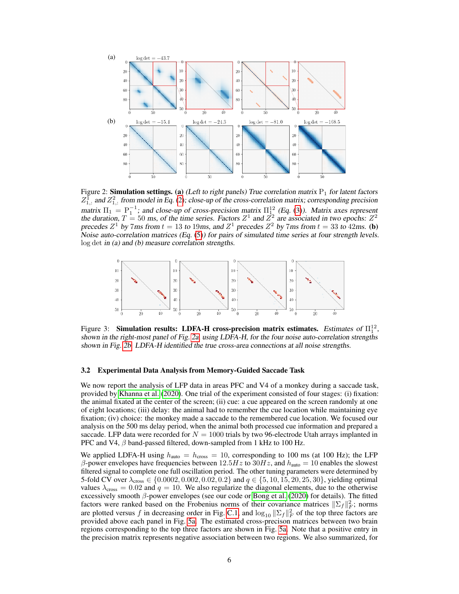<span id="page-5-3"></span><span id="page-5-2"></span><span id="page-5-1"></span>

Figure 2: **Simulation settings.** (a) (Left to right panels) True correlation matrix  $P_1$  for latent factors  $Z_{1,:}^{\bar{1}}$  and  $Z_{1,:}^2$  from model in Eq. [\(2\)](#page-1-2); close-up of the cross-correlation matrix; corresponding precision matrix  $\Pi_1 = \mathrm{P}_1^{-1}$ ; and close-up of cross-precision matrix  $\Pi_{1}^{12}$  (Eq. [\(3\)](#page-1-0)). Matrix axes represent the duration,  $T = 50$  ms, of the time series. Factors  $Z^1$  and  $\bar{Z}^2$  are associated in two epochs:  $Z^2$ precedes Z<sup>1</sup> by 7ms from  $t = 13$  to 19ms, and Z<sup>1</sup> precedes Z<sup>2</sup> by 7ms from  $t = 33$  to 42ms. (**b**) Noise auto-correlation matrices (Eq. [\(5\)](#page-2-2)) for pairs of simulated time series at four strength levels. log det in (a) and (b) measure correlation strengths.

<span id="page-5-4"></span>

Figure 3: Simulation results: LDFA-H cross-precision matrix estimates. Estimates of  $\Pi_1^{12}$ , shown in the right-most panel of Fig. [2a,](#page-5-1) using LDFA-H, for the four noise auto-correlation strengths shown in Fig. [2b.](#page-5-2) LDFA-H identified the true cross-area connections at all noise strengths.

#### <span id="page-5-0"></span>3.2 Experimental Data Analysis from Memory-Guided Saccade Task

We now report the analysis of LFP data in areas PFC and V4 of a monkey during a saccade task, provided by [Khanna et al.](#page-9-18) [\(2020\)](#page-9-18). One trial of the experiment consisted of four stages: (i) fixation: the animal fixated at the center of the screen; (ii) cue: a cue appeared on the screen randomly at one of eight locations; (iii) delay: the animal had to remember the cue location while maintaining eye fixation; (iv) choice: the monkey made a saccade to the remembered cue location. We focused our analysis on the 500 ms delay period, when the animal both processed cue information and prepared a saccade. LFP data were recorded for  $N = 1000$  trials by two 96-electrode Utah arrays implanted in PFC and V4,  $\beta$  band-passed filtered, down-sampled from 1 kHz to 100 Hz.

We applied LDFA-H using  $h_{\text{auto}} = h_{\text{cross}} = 10$ , corresponding to 100 ms (at 100 Hz); the LFP β-power envelopes have frequencies between  $12.5Hz$  to  $30Hz$ , and  $h_{\text{auto}} = 10$  enables the slowest filtered signal to complete one full oscillation period. The other tuning parameters were determined by 5-fold CV over  $\lambda_{\text{cross}} \in \{0.0002, 0.002, 0.02, 0.2\}$  and  $q \in \{5, 10, 15, 20, 25, 30\}$ , yielding optimal values  $\lambda_{\text{cross}} = 0.02$  and  $q = 10$ . We also regularize the diagonal elements, due to the otherwise excessively smooth  $\beta$ -power envelopes (see our code or [Bong et al.](#page-9-11) [\(2020\)](#page-9-11) for details). The fitted factors were ranked based on the Frobenius norms of their covariance matrices  $||\Sigma_f||_F^2$ ; norms are plotted versus f in decreasing order in Fig. [C.1,](#page-14-0) and  $\log_{10} \|\Sigma_f\|_F^2$  of the top three factors are provided above each panel in Fig. [5a.](#page-7-0) The estimated cross-precison matrices between two brain regions corresponding to the top three factors are shown in Fig. [5a.](#page-7-0) Note that a positive entry in the precision matrix represents negative association between two regions. We also summarized, for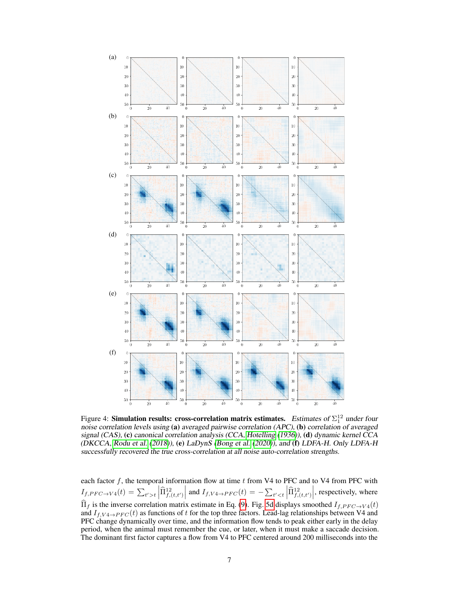<span id="page-6-0"></span>

Figure 4: **Simulation results: cross-correlation matrix estimates.** Estimates of  $\Sigma_1^{12}$  under four noise correlation levels using (a) averaged pairwise correlation (APC), (b) correlation of averaged signal (CAS), (c) canonical correlation analysis (CCA, [Hotelling](#page-9-17) [\(1936\)](#page-9-17)), (d) dynamic kernel CCA (DKCCA, [Rodu et al.](#page-10-6) [\(2018\)](#page-10-6)), (e) LaDynS [\(Bong et al.](#page-9-11) [\(2020\)](#page-9-11)), and (f) LDFA-H. Only LDFA-H successfully recovered the true cross-correlation at all noise auto-correlation strengths.

each factor f, the temporal information flow at time  $t$  from V4 to PFC and to V4 from PFC with  $I_{f, PFC \to V4}(t) = \sum_{t' > t} \left| \widehat{\Pi}^{12}_{f,(t,t')} \right|$  and  $I_{f,V4 \to PFC}(t) = -\sum_{t' < t} \left| \widehat{\Pi}^{12}_{f,(t,t')} \right|$ , respectively, where  $\Pi_f$  is the inverse correlation matrix estimate in Eq. [\(9\)](#page-3-2). Fig. [5d](#page-7-1) displays smoothed  $I_{f,PFC \to V4}(t)$  and  $I_{f,V4 \to PFC}(t)$  as functions of t for the top three factors. Lead-lag relationships between V4 and PFC change dynamically over time, and the information flow tends to peak either early in the delay period, when the animal must remember the cue, or later, when it must make a saccade decision. The dominant first factor captures a flow from V4 to PFC centered around 200 milliseconds into the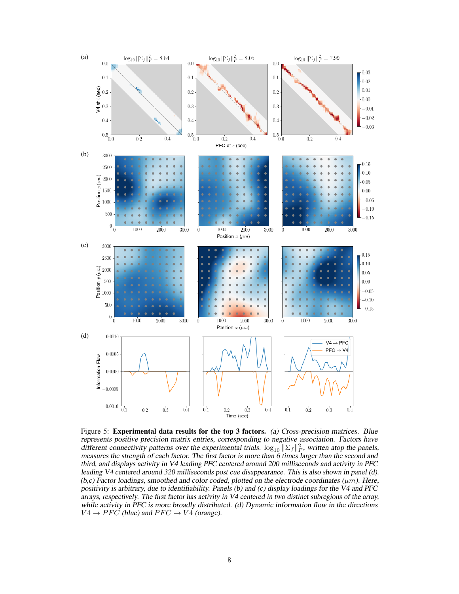<span id="page-7-2"></span><span id="page-7-0"></span>

<span id="page-7-3"></span><span id="page-7-1"></span>Figure 5: **Experimental data results for the top 3 factors.** (a) Cross-precision matrices. Blue represents positive precision matrix entries, corresponding to negative association. Factors have different connectivity patterns over the experimental trials.  $\log_{10} \|\Sigma_f\|_F^2$ , written atop the panels, measures the strength of each factor. The first factor is more than 6 times larger than the second and third, and displays activity in V4 leading PFC centered around 200 milliseconds and activity in PFC leading V4 centered around 320 milliseconds post cue disappearance. This is also shown in panel (d).  $(b,c)$  Factor loadings, smoothed and color coded, plotted on the electrode coordinates ( $\mu$ m). Here, positivity is arbitrary, due to identifiability. Panels (b) and (c) display loadings for the V4 and PFC arrays, respectively. The first factor has activity in V4 centered in two distinct subregions of the array, while activity in PFC is more broadly distributed. (d) Dynamic information flow in the directions  $V4 \rightarrow PFC$  (blue) and  $PFC \rightarrow V4$  (orange).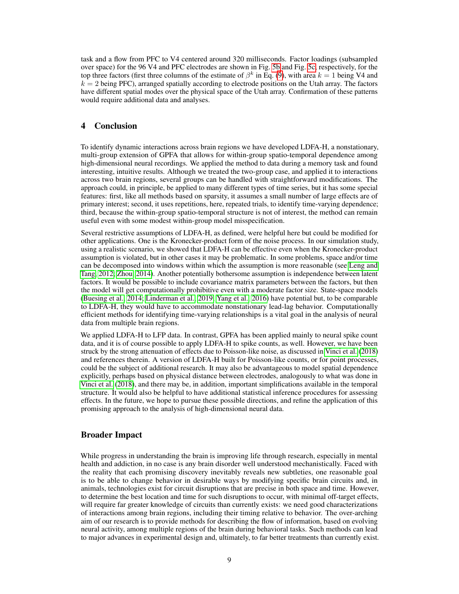task and a flow from PFC to V4 centered around 320 milliseconds. Factor loadings (subsampled over space) for the 96 V4 and PFC electrodes are shown in Fig. [5b](#page-7-2) and Fig. [5c,](#page-7-3) respectively, for the top three factors (first three columns of the estimate of  $\beta^k$  in Eq. [\(9\)](#page-3-2), with area  $k = 1$  being V4 and  $k = 2$  being PFC), arranged spatially according to electrode positions on the Utah array. The factors have different spatial modes over the physical space of the Utah array. Confirmation of these patterns would require additional data and analyses.

# 4 Conclusion

To identify dynamic interactions across brain regions we have developed LDFA-H, a nonstationary, multi-group extension of GPFA that allows for within-group spatio-temporal dependence among high-dimensional neural recordings. We applied the method to data during a memory task and found interesting, intuitive results. Although we treated the two-group case, and applied it to interactions across two brain regions, several groups can be handled with straightforward modifications. The approach could, in principle, be applied to many different types of time series, but it has some special features: first, like all methods based on sparsity, it assumes a small number of large effects are of primary interest; second, it uses repetitions, here, repeated trials, to identify time-varying dependence; third, because the within-group spatio-temporal structure is not of interest, the method can remain useful even with some modest within-group model misspecification.

Several restrictive assumptions of LDFA-H, as defined, were helpful here but could be modified for other applications. One is the Kronecker-product form of the noise process. In our simulation study, using a realistic scenario, we showed that LDFA-H can be effective even when the Kronecker-product assumption is violated, but in other cases it may be problematic. In some problems, space and/or time can be decomposed into windows within which the assumption is more reasonable (see [Leng and](#page-9-19) [Tang, 2012;](#page-9-19) [Zhou, 2014\)](#page-10-7). Another potentially bothersome assumption is independence between latent factors. It would be possible to include covariance matrix parameters between the factors, but then the model will get computationally prohibitive even with a moderate factor size. State-space models [\(Buesing et al., 2014;](#page-9-6) [Linderman et al., 2019;](#page-9-20) [Yang et al., 2016\)](#page-10-8) have potential but, to be comparable to LDFA-H, they would have to accommodate nonstationary lead-lag behavior. Computationally efficient methods for identifying time-varying relationships is a vital goal in the analysis of neural data from multiple brain regions.

We applied LDFA-H to LFP data. In contrast, GPFA has been applied mainly to neural spike count data, and it is of course possible to apply LDFA-H to spike counts, as well. However, we have been struck by the strong attenuation of effects due to Poisson-like noise, as discussed in [Vinci et al.](#page-10-9) [\(2018\)](#page-10-9) and references therein. A version of LDFA-H built for Poisson-like counts, or for point processes, could be the subject of additional research. It may also be advantageous to model spatial dependence explicitly, perhaps based on physical distance between electrodes, analogously to what was done in [Vinci et al.](#page-10-9) [\(2018\)](#page-10-9), and there may be, in addition, important simplifications available in the temporal structure. It would also be helpful to have additional statistical inference procedures for assessing effects. In the future, we hope to pursue these possible directions, and refine the application of this promising approach to the analysis of high-dimensional neural data.

# Broader Impact

While progress in understanding the brain is improving life through research, especially in mental health and addiction, in no case is any brain disorder well understood mechanistically. Faced with the reality that each promising discovery inevitably reveals new subtleties, one reasonable goal is to be able to change behavior in desirable ways by modifying specific brain circuits and, in animals, technologies exist for circuit disruptions that are precise in both space and time. However, to determine the best location and time for such disruptions to occur, with minimal off-target effects, will require far greater knowledge of circuits than currently exists: we need good characterizations of interactions among brain regions, including their timing relative to behavior. The over-arching aim of our research is to provide methods for describing the flow of information, based on evolving neural activity, among multiple regions of the brain during behavioral tasks. Such methods can lead to major advances in experimental design and, ultimately, to far better treatments than currently exist.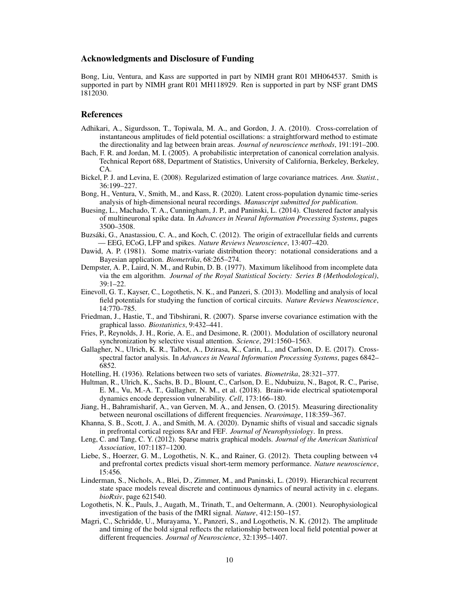## Acknowledgments and Disclosure of Funding

Bong, Liu, Ventura, and Kass are supported in part by NIMH grant R01 MH064537. Smith is supported in part by NIMH grant R01 MH118929. Ren is supported in part by NSF grant DMS 1812030.

# References

- <span id="page-9-5"></span>Adhikari, A., Sigurdsson, T., Topiwala, M. A., and Gordon, J. A. (2010). Cross-correlation of instantaneous amplitudes of field potential oscillations: a straightforward method to estimate the directionality and lag between brain areas. *Journal of neuroscience methods*, 191:191–200.
- <span id="page-9-14"></span>Bach, F. R. and Jordan, M. I. (2005). A probabilistic interpretation of canonical correlation analysis. Technical Report 688, Department of Statistics, University of California, Berkeley, Berkeley, CA.
- <span id="page-9-12"></span>Bickel, P. J. and Levina, E. (2008). Regularized estimation of large covariance matrices. *Ann. Statist.*, 36:199–227.
- <span id="page-9-11"></span>Bong, H., Ventura, V., Smith, M., and Kass, R. (2020). Latent cross-population dynamic time-series analysis of high-dimensional neural recordings. *Manuscript submitted for publication*.
- <span id="page-9-6"></span>Buesing, L., Machado, T. A., Cunningham, J. P., and Paninski, L. (2014). Clustered factor analysis of multineuronal spike data. In *Advances in Neural Information Processing Systems*, pages 3500–3508.
- <span id="page-9-0"></span>Buzsáki, G., Anastassiou, C. A., and Koch, C. (2012). The origin of extracellular fields and currents — EEG, ECoG, LFP and spikes. *Nature Reviews Neuroscience*, 13:407–420.
- <span id="page-9-13"></span>Dawid, A. P. (1981). Some matrix-variate distribution theory: notational considerations and a Bayesian application. *Biometrika*, 68:265–274.
- <span id="page-9-15"></span>Dempster, A. P., Laird, N. M., and Rubin, D. B. (1977). Maximum likelihood from incomplete data via the em algorithm. *Journal of the Royal Statistical Society: Series B (Methodological)*, 39:1–22.
- <span id="page-9-1"></span>Einevoll, G. T., Kayser, C., Logothetis, N. K., and Panzeri, S. (2013). Modelling and analysis of local field potentials for studying the function of cortical circuits. *Nature Reviews Neuroscience*, 14:770–785.
- <span id="page-9-16"></span>Friedman, J., Hastie, T., and Tibshirani, R. (2007). Sparse inverse covariance estimation with the graphical lasso. *Biostatistics*, 9:432–441.
- <span id="page-9-4"></span>Fries, P., Reynolds, J. H., Rorie, A. E., and Desimone, R. (2001). Modulation of oscillatory neuronal synchronization by selective visual attention. *Science*, 291:1560–1563.
- <span id="page-9-7"></span>Gallagher, N., Ulrich, K. R., Talbot, A., Dzirasa, K., Carin, L., and Carlson, D. E. (2017). Crossspectral factor analysis. In *Advances in Neural Information Processing Systems*, pages 6842– 6852.
- <span id="page-9-17"></span>Hotelling, H. (1936). Relations between two sets of variates. *Biometrika*, 28:321–377.
- <span id="page-9-8"></span>Hultman, R., Ulrich, K., Sachs, B. D., Blount, C., Carlson, D. E., Ndubuizu, N., Bagot, R. C., Parise, E. M., Vu, M.-A. T., Gallagher, N. M., et al. (2018). Brain-wide electrical spatiotemporal dynamics encode depression vulnerability. *Cell*, 173:166–180.
- <span id="page-9-9"></span>Jiang, H., Bahramisharif, A., van Gerven, M. A., and Jensen, O. (2015). Measuring directionality between neuronal oscillations of different frequencies. *Neuroimage*, 118:359–367.
- <span id="page-9-18"></span>Khanna, S. B., Scott, J. A., and Smith, M. A. (2020). Dynamic shifts of visual and saccadic signals in prefrontal cortical regions 8Ar and FEF. *Journal of Neurophysiology*. In press.
- <span id="page-9-19"></span>Leng, C. and Tang, C. Y. (2012). Sparse matrix graphical models. *Journal of the American Statistical Association*, 107:1187–1200.
- <span id="page-9-10"></span>Liebe, S., Hoerzer, G. M., Logothetis, N. K., and Rainer, G. (2012). Theta coupling between v4 and prefrontal cortex predicts visual short-term memory performance. *Nature neuroscience*, 15:456.
- <span id="page-9-20"></span>Linderman, S., Nichols, A., Blei, D., Zimmer, M., and Paninski, L. (2019). Hierarchical recurrent state space models reveal discrete and continuous dynamics of neural activity in c. elegans. *bioRxiv*, page 621540.
- <span id="page-9-2"></span>Logothetis, N. K., Pauls, J., Augath, M., Trinath, T., and Oeltermann, A. (2001). Neurophysiological investigation of the basis of the fMRI signal. *Nature*, 412:150–157.
- <span id="page-9-3"></span>Magri, C., Schridde, U., Murayama, Y., Panzeri, S., and Logothetis, N. K. (2012). The amplitude and timing of the bold signal reflects the relationship between local field potential power at different frequencies. *Journal of Neuroscience*, 32:1395–1407.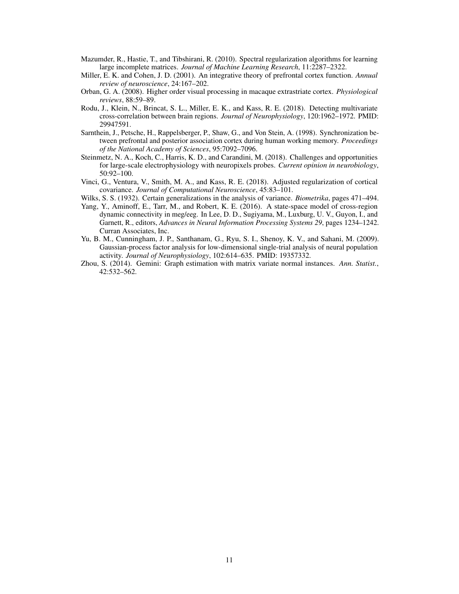- <span id="page-10-10"></span>Mazumder, R., Hastie, T., and Tibshirani, R. (2010). Spectral regularization algorithms for learning large incomplete matrices. *Journal of Machine Learning Research*, 11:2287–2322.
- <span id="page-10-2"></span>Miller, E. K. and Cohen, J. D. (2001). An integrative theory of prefrontal cortex function. *Annual review of neuroscience*, 24:167–202.
- <span id="page-10-1"></span>Orban, G. A. (2008). Higher order visual processing in macaque extrastriate cortex. *Physiological reviews*, 88:59–89.
- <span id="page-10-6"></span>Rodu, J., Klein, N., Brincat, S. L., Miller, E. K., and Kass, R. E. (2018). Detecting multivariate cross-correlation between brain regions. *Journal of Neurophysiology*, 120:1962–1972. PMID: 29947591.
- <span id="page-10-3"></span>Sarnthein, J., Petsche, H., Rappelsberger, P., Shaw, G., and Von Stein, A. (1998). Synchronization between prefrontal and posterior association cortex during human working memory. *Proceedings of the National Academy of Sciences*, 95:7092–7096.
- <span id="page-10-0"></span>Steinmetz, N. A., Koch, C., Harris, K. D., and Carandini, M. (2018). Challenges and opportunities for large-scale electrophysiology with neuropixels probes. *Current opinion in neurobiology*, 50:92–100.
- <span id="page-10-9"></span>Vinci, G., Ventura, V., Smith, M. A., and Kass, R. E. (2018). Adjusted regularization of cortical covariance. *Journal of Computational Neuroscience*, 45:83–101.
- <span id="page-10-5"></span>Wilks, S. S. (1932). Certain generalizations in the analysis of variance. *Biometrika*, pages 471–494.
- <span id="page-10-8"></span>Yang, Y., Aminoff, E., Tarr, M., and Robert, K. E. (2016). A state-space model of cross-region dynamic connectivity in meg/eeg. In Lee, D. D., Sugiyama, M., Luxburg, U. V., Guyon, I., and Garnett, R., editors, *Advances in Neural Information Processing Systems 29*, pages 1234–1242. Curran Associates, Inc.
- <span id="page-10-4"></span>Yu, B. M., Cunningham, J. P., Santhanam, G., Ryu, S. I., Shenoy, K. V., and Sahani, M. (2009). Gaussian-process factor analysis for low-dimensional single-trial analysis of neural population activity. *Journal of Neurophysiology*, 102:614–635. PMID: 19357332.
- <span id="page-10-7"></span>Zhou, S. (2014). Gemini: Graph estimation with matrix variate normal instances. *Ann. Statist.*, 42:532–562.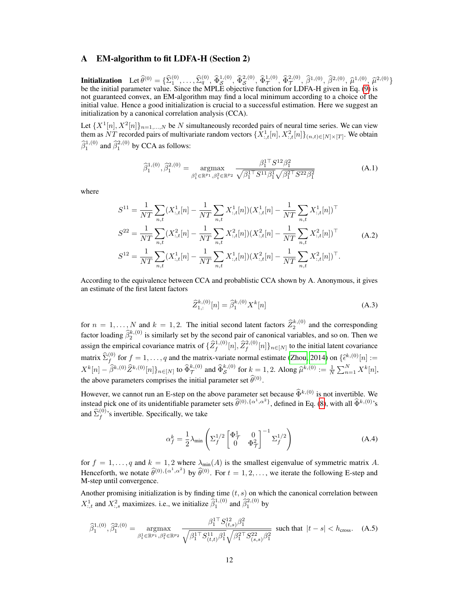# <span id="page-11-0"></span>A EM-algorithm to fit LDFA-H (Section 2)

**Initialization** Let  $\widehat{\theta}^{(0)} = {\widehat{\Sigma}_1^{(0)}, \ldots, \widehat{\Sigma}_q^{(0)}, \widehat{\Phi}_{\mathcal{S}}^{1,(0)}, \widehat{\Phi}_{\mathcal{S}}^{2,(0)}, \widehat{\Phi}_{\mathcal{T}}^{1,(0)}, \widehat{\theta}_{\mathcal{T}}^{2,(0)}, \widehat{\beta}_{\mathcal{T}}^{1,(0)}, \widehat{\beta}_{\mathcal{T}}^{2,(0)}, \widehat{\mu}_{\mathcal{T}}^{1,(0)}, \widehat{\mu}_{\mathcal{S}}^{2,(0)}}$ be the initial parameter value. Since the MPLE objective function for LDFA-H given in Eq. [\(9\)](#page-3-2) is not guaranteed convex, an EM-algorithm may find a local minimum according to a choice of the initial value. Hence a good initialization is crucial to a successful estimation. Here we suggest an initialization by a canonical correlation analysis (CCA).

Let  $\{X^1[n], X^2[n]\}_{n=1,\dots,N}$  be N simultaneously recorded pairs of neural time series. We can view them as NT recorded pairs of multivariate random vectors  $\{X^1_{:,t}[n], X^2_{:,t}[n]\}_{(n,t)\in[N]\times[T]}$ . We obtain  $\widehat{\beta}_1^{1,(0)}$  and  $\widehat{\beta}_1^{2,(0)}$  by CCA as follows:

$$
\widehat{\beta}_1^{1,(0)}, \widehat{\beta}_1^{2,(0)} = \underset{\beta_1^1 \in \mathbb{R}^{p_1}, \beta_1^2 \in \mathbb{R}^{p_2}}{\operatorname{argmax}} \frac{\beta_1^{1\top} S^{12} \beta_1^2}{\sqrt{\beta_1^{1\top} S^{11} \beta_1^1} \sqrt{\beta_1^{2\top} S^{22} \beta_1^2}}
$$
(A.1)

where

$$
S^{11} = \frac{1}{NT} \sum_{n,t} (X_{:,t}^1[n] - \frac{1}{NT} \sum_{n,t} X_{:,t}^1[n])(X_{:,t}^1[n] - \frac{1}{NT} \sum_{n,t} X_{:,t}^1[n])^\top
$$
  
\n
$$
S^{22} = \frac{1}{NT} \sum_{n,t} (X_{:,t}^2[n] - \frac{1}{NT} \sum_{n,t} X_{:,t}^2[n])(X_{:,t}^2[n] - \frac{1}{NT} \sum_{n,t} X_{:,t}^2[n])^\top
$$
  
\n
$$
S^{12} = \frac{1}{NT} \sum_{n,t} (X_{:,t}^1[n] - \frac{1}{NT} \sum_{n,t} X_{:,t}^1[n])(X_{:,t}^2[n] - \frac{1}{NT} \sum_{n,t} X_{:,t}^2[n])^\top.
$$
\n(A.2)

According to the equivalence between CCA and probablistic CCA shown by A. Anonymous, it gives an estimate of the first latent factors

$$
\widehat{Z}_{1,:}^{k,(0)}[n] = \widehat{\beta}_1^{k,(0)} X^k[n]
$$
\n(A.3)

for  $n = 1, ..., N$  and  $k = 1, 2$ . The initial second latent factors  $\hat{Z}_{2}^{k,(0)}$  and the corresponding factor loading  $\hat{\beta}_2^{k,(0)}$  is similarly set by the second pair of canonical variables, and so on. Then we assign the empirical covariance matrix of  $\{\widehat{Z}_{f}^{1,(0)}[n],\widehat{Z}_{f}^{2,(0)}[n]\}_{n\in[N]}$  to the initial latent covariance matrix  $\hat{\Sigma}_f^{(0)}$  for  $f = 1, ..., q$  and the matrix-variate normal estimate [\(Zhou, 2014\)](#page-10-7) on  $\{\hat{\epsilon}^{k,(0)}[n] :=$  $X^{k}[n] - \hat{\beta}^{k,(0)} \hat{Z}^{k,(0)}[n]\big\}_{n \in [N]}$  to  $\hat{\Phi}_{\mathcal{S}}^{k,(0)}$  and  $\hat{\Phi}_{\mathcal{S}}^{k,(0)}$  for  $k = 1, 2$ . Along  $\hat{\mu}^{k,(0)} := \frac{1}{N} \sum_{n=1}^{N} X^{k}[n],$ the above parameters comprises the initial parameter set  $\hat{\theta}^{(0)}$ .

However, we cannot run an E-step on the above parameter set because  $\hat{\Phi}^{k,(0)}$  is not invertible. We instead pick one of its unidentifiable parameter sets  $\hat{\theta}^{(0),\{\alpha^1,\alpha^2\}}$ , defined in Eq. [\(8\)](#page-3-3), with all  $\hat{\Phi}^{k,(0)}$ 's and  $\hat{\Sigma}_f^{(0)}$ 's invertible. Specifically, we take

$$
\alpha_f^k = \frac{1}{2} \lambda_{\min} \left( \Sigma_f^{1/2} \begin{bmatrix} \Phi_{\mathcal{T}}^1 & 0\\ 0 & \Phi_{\mathcal{T}}^2 \end{bmatrix}^{-1} \Sigma_f^{1/2} \right) \tag{A.4}
$$

for  $f = 1, \ldots, q$  and  $k = 1, 2$  where  $\lambda_{\min}(A)$  is the smallest eigenvalue of symmetric matrix A. Henceforth, we notate  $\hat{\theta}^{(0), {\{\alpha^1, \alpha^2\}}}$  by  $\hat{\theta}^{(0)}$ . For  $t = 1, 2, \dots$ , we iterate the following E-step and M-step until convergence.

Another promising initialization is by finding time  $(t, s)$  on which the canonical correlation between  $X_{:,t}^1$  and  $X_{:,s}^2$  maximizes. i.e., we initialize  $\hat{\beta}_1^{1,(0)}$  and  $\hat{\beta}_1^{2,(0)}$  by

$$
\widehat{\beta}_1^{1,(0)}, \widehat{\beta}_1^{2,(0)} = \underset{\beta_1^1 \in \mathbb{R}^{p_1}, \beta_1^2 \in \mathbb{R}^{p_2}}{\text{argmax}} \frac{\beta_1^{1\top} S_{(t,s)}^{12} \beta_1^2}{\sqrt{\beta_1^{1\top} S_{(t,t)}^{11} \beta_1^1} \sqrt{\beta_1^{2\top} S_{(s,s)}^{22} \beta_1^2}} \text{ such that } |t-s| < h_{\text{cross}}. \tag{A.5}
$$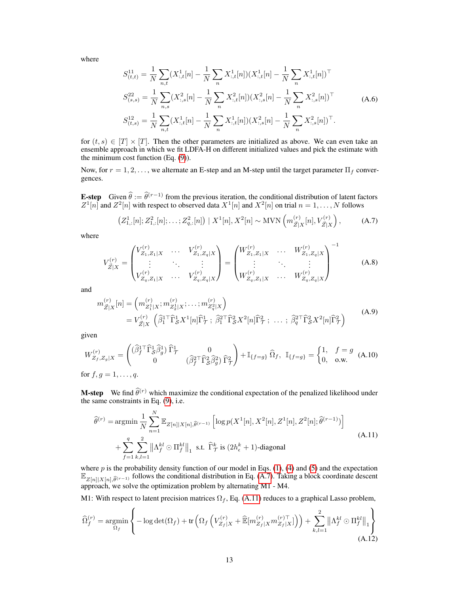where

$$
S_{(t,t)}^{11} = \frac{1}{N} \sum_{n,t} (X_{:,t}^1[n] - \frac{1}{N} \sum_n X_{:,t}^1[n])(X_{:,t}^1[n] - \frac{1}{N} \sum_n X_{:,t}^1[n])^\top
$$
  
\n
$$
S_{(s,s)}^{22} = \frac{1}{N} \sum_{n,s} (X_{:,s}^2[n] - \frac{1}{N} \sum_n X_{:,t}^2[n])(X_{:,s}^2[n] - \frac{1}{N} \sum_n X_{:,s}^2[n])^\top
$$
  
\n
$$
S_{(t,s)}^{12} = \frac{1}{N} \sum_{n,t} (X_{:,t}^1[n] - \frac{1}{N} \sum_n X_{:,t}^1[n])(X_{:,s}^2[n] - \frac{1}{N} \sum_n X_{:,s}^2[n])^\top.
$$
 (A.6)

for  $(t, s) \in [T] \times [T]$ . Then the other parameters are initialized as above. We can even take an ensemble approach in which we fit LDFA-H on different initialized values and pick the estimate with the minimum cost function (Eq. [\(9\)](#page-3-2)).

Now, for  $r = 1, 2, \ldots$ , we alternate an E-step and an M-step until the target parameter  $\Pi_f$  convergences.

**E-step** Given  $\hat{\theta} := \hat{\theta}^{(r-1)}$  from the previous iteration, the conditional distribution of latent factors  $Z^1[n]$  and  $Z^2[n]$  with respect to observed data  $X^1[n]$  and  $X^2[n]$  on trial  $n = 1, \ldots, N$  follows

<span id="page-12-0"></span>
$$
\left(Z_{1,:}^1[n]; Z_{1,:}^2[n]; \dots; Z_{q,:}^2[n]\right) \mid X^1[n], X^2[n] \sim \text{MVN}\left(m_{\bar{Z}|X}^{(r)}[n], V_{\bar{Z}|X}^{(r)}\right),\tag{A.7}
$$

where

$$
V_{\vec{Z}|X}^{(r)} = \begin{pmatrix} V_{Z_1,Z_1|X}^{(r)} & \cdots & V_{Z_1,Z_q|X}^{(r)} \\ \vdots & \ddots & \vdots \\ V_{Z_q,Z_1|X}^{(r)} & \cdots & V_{Z_q,Z_q|X}^{(r)} \end{pmatrix} = \begin{pmatrix} W_{Z_1,Z_1|X}^{(r)} & \cdots & W_{Z_1,Z_q|X}^{(r)} \\ \vdots & \ddots & \vdots \\ W_{Z_q,Z_1|X}^{(r)} & \cdots & W_{Z_q,Z_q|X}^{(r)} \end{pmatrix}^{-1}
$$
(A.8)

and

$$
m_{\vec{Z}|X}^{(r)}[n] = \left( m_{Z_1^1|X}^{(r)}; m_{Z_2^1|X}^{(r)}; \dots; m_{Z_q^2|X}^{(r)} \right)
$$
  
=  $V_{\vec{Z}|X}^{(r)} \left( \hat{\beta}_1^{\text{T}} \hat{\Gamma}_S^1 X^1[n] \hat{\Gamma}_T^1; \ \hat{\beta}_1^{\text{T}} \hat{\Gamma}_S^2 X^2[n] \hat{\Gamma}_T^2; \ \dots; \ \hat{\beta}_q^{\text{T}} \hat{\Gamma}_S^2 X^2[n] \hat{\Gamma}_T^2 \right)$  (A.9)

given

$$
W_{Z_f, Z_g|X}^{(r)} = \begin{pmatrix} (\widehat{\beta}_f^{1\top} \widehat{\Gamma}_s^1 \widehat{\beta}_g^1) \widehat{\Gamma}_\mathcal{T}^1 & 0\\ 0 & (\widehat{\beta}_f^{2\top} \widehat{\Gamma}_s^2 \widehat{\beta}_g^2) \widehat{\Gamma}_\mathcal{T}^2 \end{pmatrix} + \mathbb{I}_{\{f=g\}} \widehat{\Omega}_f, \ \mathbb{I}_{\{f=g\}} = \begin{cases} 1, & f=g\\ 0, & \text{o.w.} \end{cases}
$$
 (A.10)  
for  $f, g = 1, ..., q$ .

**M-step** We find  $\widehat{\theta}^{(r)}$  which maximize the conditional expectation of the penalized likelihood under the same constraints in Eq. [\(9\)](#page-3-2), i.e.

<span id="page-12-1"></span>
$$
\widehat{\theta}^{(r)} = \operatorname*{argmin}_{N} \frac{1}{N} \sum_{n=1}^{N} \mathbb{E}_{Z[n]|X[n],\widehat{\theta}^{(r-1)}} \left[ \log p(X^{1}[n], X^{2}[n], Z^{1}[n], Z^{2}[n]; \widehat{\theta}^{(r-1)}) \right] + \sum_{f=1}^{q} \sum_{k,l=1}^{2} \left\| \Lambda_f^{kl} \odot \Pi_f^{kl} \right\|_1 \text{ s.t. } \widehat{\Gamma}_{\mathcal{T}}^{k} \text{ is } (2h_{\epsilon}^{k} + 1)\text{-diagonal}
$$
\n(A.11)

where  $p$  is the probability density function of our model in Eqs. [\(1\)](#page-1-1), [\(4\)](#page-1-3) and [\(5\)](#page-2-2) and the expectation  $\mathbb{E}_{Z[n]|X[n],\hat{\theta}^{(r-1)}}$  follows the conditional distribution in Eq. [\(A.7\)](#page-12-0). Taking a block coordinate descent approach, we solve the optimization problem by alternating M1 - M4.

M1: With respect to latent precision matrices  $\Omega_f$ , Eq. [\(A.11\)](#page-12-1) reduces to a graphical Lasso problem,

$$
\widehat{\Omega}_{f}^{(r)} = \underset{\Omega_{f}}{\operatorname{argmin}} \left\{-\log \det(\Omega_{f}) + \operatorname{tr}\left(\Omega_{f}\left(V_{Z_{f}|X}^{(r)} + \widehat{\mathbb{E}}[m_{Z_{f}|X}^{(r)} m_{Z_{f}|X}^{(r)}]\right)\right) + \sum_{k,l=1}^{2} \left\|\Lambda_{f}^{kl} \odot \Pi_{f}^{kl}\right\|_{1}\right\}
$$
\n(A.12)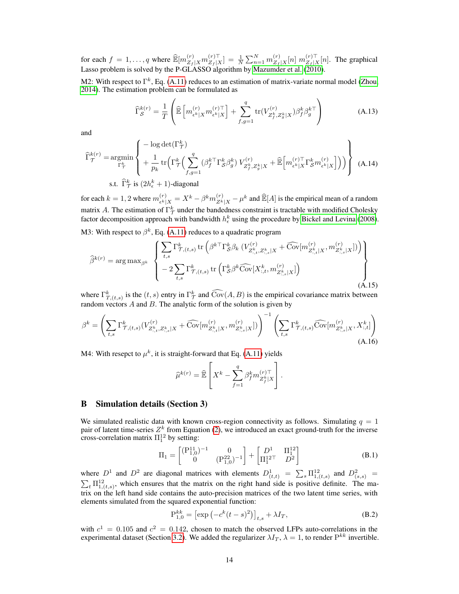for each  $f = 1, ..., q$  where  $\widehat{\mathbb{E}}[m_{Z_f|X}^{(r)} m_{Z_f|X}^{(r)\top}]$  $\left[ \begin{smallmatrix} (r)^\top \ Z_f | X \end{smallmatrix} \right] \, = \, \frac{1}{N} \sum_{n=1}^N m_{Z_f}^{(r)}$  $\binom{r}{Z_f|X}[n] \; m_{Z_f|\lambda}^{(r)\top}$  $\sum_{\substack{Z_f | X}}^{(r)} [n]$ . The graphical Lasso problem is solved by the P-GLASSO algorithm by [Mazumder et al.](#page-10-10) [\(2010\)](#page-10-10).

M2: With respect to  $\Gamma^k$ , Eq. [\(A.11\)](#page-12-1) reduces to an estimation of matrix-variate normal model [\(Zhou,](#page-10-7) [2014\)](#page-10-7). The estimation problem can be formulated as

$$
\widehat{\Gamma}_{\mathcal{S}}^{k(r)} = \frac{1}{T} \left( \widehat{\mathbb{E}} \left[ m_{\epsilon^k | X}^{(r)} m_{\epsilon^k | X}^{(r) \top} \right] + \sum_{f,g=1}^q \text{tr}(V_{Z_f^k, Z_g^k | X}^{(r)}) \beta_f^k \beta_g^{k \top} \right)
$$
(A.13)

and

$$
\widehat{\Gamma}_{\mathcal{T}}^{k(r)} = \underset{\Gamma_{\mathcal{T}}^k}{\operatorname{argmin}} \left\{ \frac{-\log \det(\Gamma_{\mathcal{T}}^k)}{+ \frac{1}{p_k} \operatorname{tr} \left( \Gamma_{\mathcal{T}}^k \left( \sum_{f,g=1}^q (\beta_f^{k\top} \Gamma_S^k \beta_g^k) V_{Z_f^k, Z_g^k|X}^{(r)} + \widehat{\mathbb{E}} \left[ m_{\epsilon^k|X}^{(r)\top} \Gamma_S^k m_{\epsilon^k|X}^{(r)} \right] \right) \right) \right\} \text{ (A.14)}
$$
s.t.  $\widehat{\Gamma}_{\mathcal{T}}^k$  is  $(2h_{\epsilon}^k + 1)$ -diagonal

for each  $k = 1, 2$  where  $m_{\epsilon k}^{(r)}$  $\binom{(r)}{k^k|X} = X^k - \beta^k m_{Z^k|X}^{(r)} - \mu^k$  and  $\widehat{\mathbb{E}}[A]$  is the empirical mean of a random matrix A. The estimation of  $\Gamma_{\mathcal{T}}^{k}$  under the bandedness constraint is tractable with modified Cholesky factor decomposition approach with bandwidth  $h_{\epsilon}^{k}$  using the procedure by [Bickel and Levina](#page-9-12) [\(2008\)](#page-9-12).

M3: With respect to  $\beta^k$ , Eq. [\(A.11\)](#page-12-1) reduces to a quadratic program

$$
\widehat{\beta}^{k(r)} = \arg \max_{\beta^{k}} \left\{ \frac{\sum_{t,s} \Gamma_{\mathcal{T},(t,s)}^{k} \text{tr} \left( \beta^{k\top} \Gamma_{\mathcal{S}}^{k} \beta_{k} \left( V_{Z_{:,t}^{k}, Z_{:,s}^{k} | X}^{(r)} + \widehat{\text{Cov}}[m_{Z_{:,t}^{k}|X}^{(r)}, m_{Z_{:,s}^{k}|X}^{(r)}] \right) \right)}{-2 \sum_{t,s} \Gamma_{\mathcal{T},(t,s)}^{k} \text{tr} \left( \Gamma_{\mathcal{S}}^{k} \beta^{k} \widehat{\text{Cov}}[X_{:,t}^{k}, m_{Z_{:,s}^{k}|X}^{(r)}] \right)} \right\}
$$
\n(A.15)

where  $\Gamma^k_{T,(t,s)}$  is the  $(t, s)$  entry in  $\Gamma^k_{\mathcal{T}}$  and  $\widehat{\text{Cov}}(A, B)$  is the empirical covariance matrix between random vectors  $A$  and  $B$ . The analytic form of the solution is given by

$$
\beta^{k} = \left(\sum_{t,s} \Gamma^{k}_{\mathcal{T},(t,s)}(V^{(r)}_{Z^{k}_{:,t},Z^{k}_{:,s}|X} + \widehat{\text{Cov}}[m^{(r)}_{Z^{k}_{:,t}|X},m^{(r)}_{Z^{k}_{:,s}|X}])\right)^{-1} \left(\sum_{t,s} \Gamma^{k}_{\mathcal{T},(t,s)}\widehat{\text{Cov}}[m^{(r)}_{Z^{k}_{:,s}|X},X^{k}_{:,t}]\right)
$$
\n(A.16)

M4: With resepct to  $\mu^k$ , it is straight-forward that Eq. [\(A.11\)](#page-12-1) yields

$$
\widehat{\mu}^{k(r)} = \widehat{\mathbb{E}} \left[ X^k - \sum_{f=1}^q \beta_f^k m_{Z_f^k|X}^{(r)\top} \right].
$$

# <span id="page-13-0"></span>B Simulation details (Section 3)

We simulated realistic data with known cross-region connectivity as follows. Simulating  $q = 1$ pair of latent time-series  $Z^k$  from Equation [\(2\)](#page-1-2), we introduced an exact ground-truth for the inverse cross-correlation matrix  $\Pi_1^{12}$  by setting:

$$
\Pi_1 = \begin{bmatrix} (\mathbf{P}_{1,0}^{11})^{-1} & 0\\ 0 & (\mathbf{P}_{1,0}^{22})^{-1} \end{bmatrix} + \begin{bmatrix} D^1 & \Pi_1^{12} \\ \Pi_1^{12} & D^2 \end{bmatrix}
$$
 (B.1)

where  $D^1$  and  $D^2$  are diagonal matrices with elements  $D^1_{(t,t)} = \sum_s \prod_{i,(t,s)}^{12}$  and  $D^2_{(s,s)} =$  $\sum_{t} \Pi_{1,(t,s)}^{12}$ , which ensures that the matrix on the right hand side is positive definite. The matrix on the left hand side contains the auto-precision matrices of the two latent time series, with elements simulated from the squared exponential function:

$$
P_{1,0}^{kk} = \left[ \exp \left( -c^k (t - s)^2 \right) \right]_{t,s} + \lambda I_T,
$$
\n(B.2)

with  $c^1 = 0.105$  and  $c^2 = 0.142$ , chosen to match the observed LFPs auto-correlations in the experimental dataset (Section [3.2\)](#page-5-0). We added the regularizer  $\lambda I_T$ ,  $\lambda = 1$ , to render  $P^{kk}$  invertible.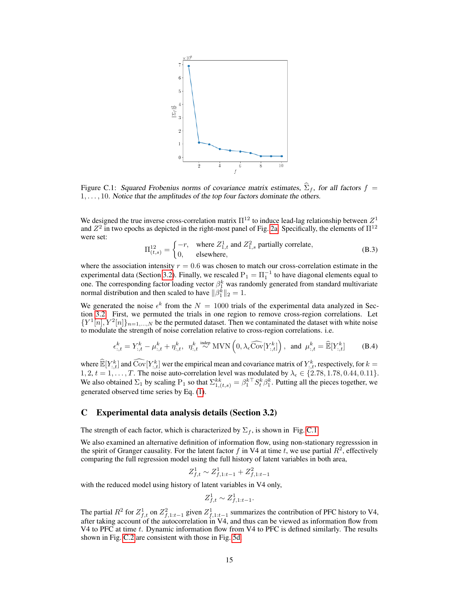<span id="page-14-0"></span>

Figure C.1: Squared Frobenius norms of covariance matrix estimates,  $\hat{\Sigma}_f$ , for all factors  $f =$  $1, \ldots, 10$ . Notice that the amplitudes of the top four factors dominate the others.

We designed the true inverse cross-correlation matrix  $\Pi^{12}$  to induce lead-lag relationship between  $Z^1$ and  $Z^2$  in two epochs as depicted in the right-most panel of Fig. [2a.](#page-5-1) Specifically, the elements of  $\Pi^{12}$ were set:

$$
\Pi_{(t,s)}^{12} = \begin{cases}\n-r, & \text{where } Z_{1,t}^1 \text{ and } Z_{1,s}^2 \text{ partially correlate,} \\
0, & \text{elsewhere,}\n\end{cases}
$$
\n(B.3)

where the association intensity  $r = 0.6$  was chosen to match our cross-correlation estimate in the experimental data (Section [3.2\)](#page-5-0). Finally, we rescaled  $P_1 = \Pi_1^{-1}$  to have diagonal elements equal to one. The corresponding factor loading vector  $\beta_1^k$  was randomly generated from standard multivariate normal distribution and then scaled to have  $\|\beta_1^k\|_2 = 1$ .

We generated the noise  $\epsilon^k$  from the  $N = 1000$  trials of the experimental data analyzed in Section [3.2.](#page-5-0) First, we permuted the trials in one region to remove cross-region correlations. Let  ${Y^1[n], Y^2[n]}_{n=1,...,N}$  be the permuted dataset. Then we contaminated the dataset with white noise to modulate the strength of noise correlation relative to cross-region correlations. i.e.

$$
\epsilon_{:,t}^k = Y_{:,t}^k - \mu_{:,t}^k + \eta_{:,t}^k, \quad \eta_{:,t}^k \stackrel{\text{indep}}{\sim} \text{MVN}\left(0, \lambda_\epsilon \widehat{\text{Cov}}[Y_{:,t}^k]\right), \text{ and } \mu_{:,t}^k = \widehat{\mathbb{E}}[Y_{:,t}^k] \tag{B.4}
$$

where  $\widehat{\mathbb{E}}[Y_{,t}^k]$  and  $\widehat{\text{Cov}}[Y_{,t}^k]$  wer the empirical mean and covariance matrix of  $Y_{,t}^k$ , respectively, for  $k = 1$ 1, 2,  $t = 1, \ldots, T$ . The noise auto-correlation level was modulated by  $\lambda_{\epsilon} \in \{2.78, 1.78, 0.44, 0.11\}$ . We also obtained  $\Sigma_1$  by scaling  $P_1$  so that  $\Sigma_{1,(t,s)}^{kk} = \beta_1^{k\top} S_t^k \beta_1^k$ . Putting all the pieces together, we generated observed time series by Eq. [\(1\)](#page-1-1).

## C Experimental data analysis details (Section 3.2)

The strength of each factor, which is characterized by  $\Sigma_f$ , is shown in Fig. [C.1.](#page-14-0)

We also examined an alternative definition of information flow, using non-stationary regresssion in the spirit of Granger causality. For the latent factor f in V4 at time t, we use partial  $R^2$ , effectively comparing the full regression model using the full history of latent variables in both area,

$$
Z_{f,t}^1\sim Z_{f,1:t-1}^1+Z_{f,1:t-1}^2
$$

with the reduced model using history of latent variables in V4 only,

$$
Z_{f,t}^1 \sim Z_{f,1:t-1}^1.
$$

The partial  $R^2$  for  $Z_{f,t}^1$  on  $Z_{f,1:t-1}^2$  given  $Z_{f,1:t-1}^1$  summarizes the contribution of PFC history to V4, after taking account of the autocorrelation in V4, and thus can be viewed as information flow from V4 to PFC at time t. Dynamic information flow from V4 to PFC is defined similarly. The results shown in Fig. [C.2](#page-15-0) are consistent with those in Fig. [5d.](#page-7-1)